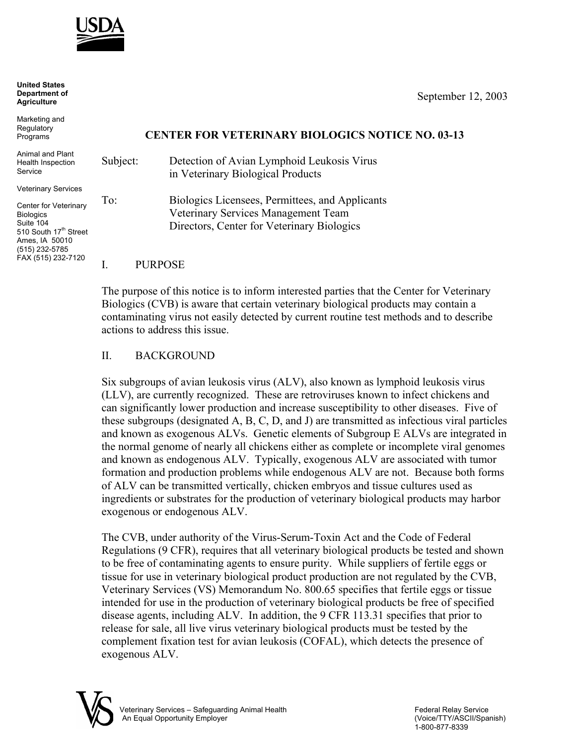

**United States Department of Agriculture**

Marketing and **Regulatory** Programs

Animal and Plant Health Inspection Service

Veterinary Services

Center for Veterinary **Biologics** Suite 104 510 South 17<sup>th</sup> Street Ames, IA 50010 (515) 232-5785 FAX (515) 232-7120

# September 12, 2003

## **CENTER FOR VETERINARY BIOLOGICS NOTICE NO. 03-13**

Subject: Detection of Avian Lymphoid Leukosis Virus in Veterinary Biological Products To: Biologics Licensees, Permittees, and Applicants Veterinary Services Management Team Directors, Center for Veterinary Biologics

#### I. PURPOSE

The purpose of this notice is to inform interested parties that the Center for Veterinary Biologics (CVB) is aware that certain veterinary biological products may contain a contaminating virus not easily detected by current routine test methods and to describe actions to address this issue.

## II. BACKGROUND

Six subgroups of avian leukosis virus (ALV), also known as lymphoid leukosis virus (LLV), are currently recognized. These are retroviruses known to infect chickens and can significantly lower production and increase susceptibility to other diseases. Five of these subgroups (designated A, B, C, D, and J) are transmitted as infectious viral particles and known as exogenous ALVs. Genetic elements of Subgroup E ALVs are integrated in the normal genome of nearly all chickens either as complete or incomplete viral genomes and known as endogenous ALV. Typically, exogenous ALV are associated with tumor formation and production problems while endogenous ALV are not. Because both forms of ALV can be transmitted vertically, chicken embryos and tissue cultures used as ingredients or substrates for the production of veterinary biological products may harbor exogenous or endogenous ALV.

The CVB, under authority of the Virus-Serum-Toxin Act and the Code of Federal Regulations (9 CFR), requires that all veterinary biological products be tested and shown to be free of contaminating agents to ensure purity. While suppliers of fertile eggs or tissue for use in veterinary biological product production are not regulated by the CVB, Veterinary Services (VS) Memorandum No. 800.65 specifies that fertile eggs or tissue intended for use in the production of veterinary biological products be free of specified disease agents, including ALV. In addition, the 9 CFR 113.31 specifies that prior to release for sale, all live virus veterinary biological products must be tested by the complement fixation test for avian leukosis (COFAL), which detects the presence of exogenous ALV.